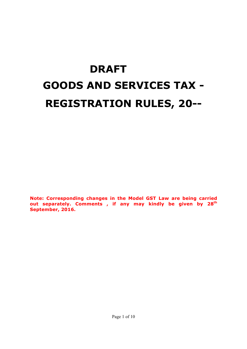# **DRAFT GOODS AND SERVICES TAX - REGISTRATION RULES, 20--**

**Note: Corresponding changes in the Model GST Law are being carried out separately. Comments , if any may kindly be given by 28th September, 2016.**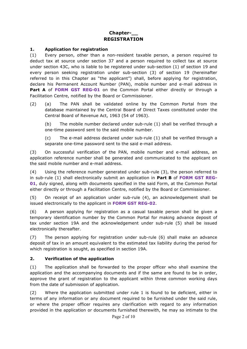## **Chapter-\_\_ REGISTRATION**

#### **1. Application for registration**

(1) Every person, other than a non-resident taxable person, a person required to deduct tax at source under section 37 and a person required to collect tax at source under section 43C, who is liable to be registered under sub-section (1) of section 19 and every person seeking registration under sub-section (3) of section 19 (hereinafter referred to in this Chapter as "the applicant") shall, before applying for registration, declare his Permanent Account Number (PAN), mobile number and e-mail address in Part A of FORM GST REG-01 on the Common Portal either directly or through a Facilitation Centre, notified by the Board or Commissioner.

(2) (a) The PAN shall be validated online by the Common Portal from the database maintained by the Central Board of Direct Taxes constituted under the Central Board of Revenue Act, 1963 (54 of 1963).

(b) The mobile number declared under sub-rule (1) shall be verified through a one-time password sent to the said mobile number.

(c) The e-mail address declared under sub-rule (1) shall be verified through a separate one-time password sent to the said e-mail address.

(3) On successful verification of the PAN, mobile number and e-mail address, an application reference number shall be generated and communicated to the applicant on the said mobile number and e-mail address.

(4) Using the reference number generated under sub-rule (3), the person referred to in sub-rule (1) shall electronically submit an application in **Part B** of **FORM GST REG-01**, duly signed, along with documents specified in the said Form, at the Common Portal either directly or through a Facilitation Centre, notified by the Board or Commissioner.

(5) On receipt of an application under sub-rule (4), an acknowledgement shall be issued electronically to the applicant in **FORM GST REG-02**.

(6) A person applying for registration as a casual taxable person shall be given a temporary identification number by the Common Portal for making advance deposit of tax under section 19A and the acknowledgement under sub-rule (5) shall be issued electronically thereafter.

(7) The person applying for registration under sub-rule (6) shall make an advance deposit of tax in an amount equivalent to the estimated tax liability during the period for which registration is sought, as specified in section 19A.

#### **2. Verification of the application**

(1) The application shall be forwarded to the proper officer who shall examine the application and the accompanying documents and if the same are found to be in order, approve the grant of registration to the applicant within three common working days from the date of submission of application.

(2) Where the application submitted under rule 1 is found to be deficient, either in terms of any information or any document required to be furnished under the said rule, or where the proper officer requires any clarification with regard to any information provided in the application or documents furnished therewith, he may so intimate to the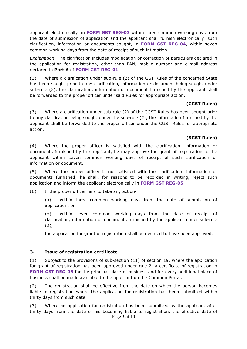applicant electronically in **FORM GST REG-03** within three common working days from the date of submission of application and the applicant shall furnish electronically such clarification, information or documents sought, in **FORM GST REG-04**, within seven common working days from the date of receipt of such intimation.

*Explanation*: The clarification includes modification or correction of particulars declared in the application for registration, other than PAN, mobile number and e-mail address declared in **Part A** of **FORM GST REG-01**.

(3) Where a clarification under sub-rule (2) of the GST Rules of the concerned State has been sought prior to any clarification, information or document being sought under sub-rule (2), the clarification, information or document furnished by the applicant shall be forwarded to the proper officer under said Rules for appropriate action.

#### **(CGST Rules)**

(3) Where a clarification under sub-rule (2) of the CGST Rules has been sought prior to any clarification being sought under the sub-rule (2), the information furnished by the applicant shall be forwarded to the proper officer under the CGST Rules for appropriate action.

#### **(SGST Rules)**

(4) Where the proper officer is satisfied with the clarification, information or documents furnished by the applicant, he may approve the grant of registration to the applicant within seven common working days of receipt of such clarification or information or document.

(5) Where the proper officer is not satisfied with the clarification, information or documents furnished, he shall, for reasons to be recorded in writing, reject such application and inform the applicant electronically in **FORM GST REG-05**.

(6) If the proper officer fails to take any action-

(a) within three common working days from the date of submission of application, or

(b) within seven common working days from the date of receipt of clarification, information or documents furnished by the applicant under sub-rule (2),

the application for grant of registration shall be deemed to have been approved.

#### **3. Issue of registration certificate**

(1) Subject to the provisions of sub-section (11) of section 19, where the application for grant of registration has been approved under rule 2, a certificate of registration in FORM GST REG-06 for the principal place of business and for every additional place of business shall be made available to the applicant on the Common Portal.

(2) The registration shall be effective from the date on which the person becomes liable to registration where the application for registration has been submitted within thirty days from such date.

Page 3 of 10 (3) Where an application for registration has been submitted by the applicant after thirty days from the date of his becoming liable to registration, the effective date of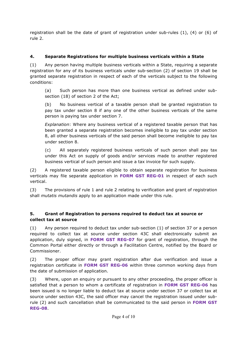registration shall be the date of grant of registration under sub-rules (1), (4) or (6) of rule 2.

# **4. Separate Registrations for multiple business verticals within a State**

(1) Any person having multiple business verticals within a State, requiring a separate registration for any of its business verticals under sub-section (2) of section 19 shall be granted separate registration in respect of each of the verticals subject to the following conditions:

(a) Such person has more than one business vertical as defined under subsection (18) of section 2 of the Act;

(b) No business vertical of a taxable person shall be granted registration to pay tax under section 8 if any one of the other business verticals of the same person is paying tax under section 7.

*Explanation*: Where any business vertical of a registered taxable person that has been granted a separate registration becomes ineligible to pay tax under section 8, all other business verticals of the said person shall become ineligible to pay tax under section 8.

(c) All separately registered business verticals of such person shall pay tax under this Act on supply of goods and/or services made to another registered business vertical of such person and issue a tax invoice for such supply.

(2) A registered taxable person eligible to obtain separate registration for business verticals may file separate application in **FORM GST REG-01** in respect of each such vertical.

(3) The provisions of rule 1 and rule 2 relating to verification and grant of registration shall *mutatis mutandis* apply to an application made under this rule.

# **5. Grant of Registration to persons required to deduct tax at source or collect tax at source**

(1) Any person required to deduct tax under sub-section (1) of section 37 or a person required to collect tax at source under section 43C shall electronically submit an application, duly signed, in **FORM GST REG-07** for grant of registration, through the Common Portal either directly or through a Facilitation Centre, notified by the Board or Commissioner.

(2) The proper officer may grant registration after due verification and issue a registration certificate in **FORM GST REG-06** within three common working days from the date of submission of application.

(3) Where, upon an enquiry or pursuant to any other proceeding, the proper officer is satisfied that a person to whom a certificate of registration in **FORM GST REG-06** has been issued is no longer liable to deduct tax at source under section 37 or collect tax at source under section 43C, the said officer may cancel the registration issued under subrule (2) and such cancellation shall be communicated to the said person in **FORM GST REG-08**.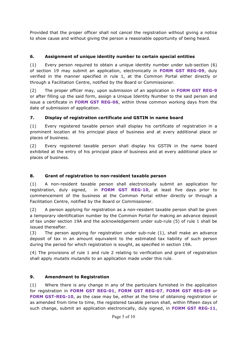Provided that the proper officer shall not cancel the registration without giving a notice to show cause and without giving the person a reasonable opportunity of being heard.

# **6. Assignment of unique identity number to certain special entities**

(1) Every person required to obtain a unique identity number under sub-section (6) of section 19 may submit an application, electronically in **FORM GST REG-09**, duly verified in the manner specified in rule 1, at the Common Portal either directly or through a Facilitation Centre, notified by the Board or Commissioner.

(2) The proper officer may, upon submission of an application in **FORM GST REG-9** or after filling up the said form, assign a Unique Identity Number to the said person and issue a certificate in **FORM GST REG-06**, within three common working days from the date of submission of application.

# **7. Display of registration certificate and GSTIN in name board**

(1) Every registered taxable person shall display his certificate of registration in a prominent location at his principal place of business and at every additional place or places of business.

(2) Every registered taxable person shall display his GSTIN in the name board exhibited at the entry of his principal place of business and at every additional place or places of business.

# **8. Grant of registration to non-resident taxable person**

(1) A non-resident taxable person shall electronically submit an application for registration, duly signed, in **FORM GST REG-10**, at least five days prior to commencement of the business at the Common Portal either directly or through a Facilitation Centre, notified by the Board or Commissioner.

(2) A person applying for registration as a non-resident taxable person shall be given a temporary identification number by the Common Portal for making an advance deposit of tax under section 19A and the acknowledgement under sub-rule (5) of rule 1 shall be issued thereafter.

(3) The person applying for registration under sub-rule (1), shall make an advance deposit of tax in an amount equivalent to the estimated tax liability of such person during the period for which registration is sought, as specified in section 19A.

(4) The provisions of rule 1 and rule 2 relating to verification and grant of registration shall apply *mutatis mutandis* to an application made under this rule.

# **9. Amendment to Registration**

(1) Where there is any change in any of the particulars furnished in the application for registration in **FORM GST REG-01**, **FORM GST REG-07**, **FORM GST REG-09** or **FORM GST-REG-10**, as the case may be, either at the time of obtaining registration or as amended from time to time, the registered taxable person shall, within fifteen days of such change, submit an application electronically, duly signed, in **FORM GST REG-11**,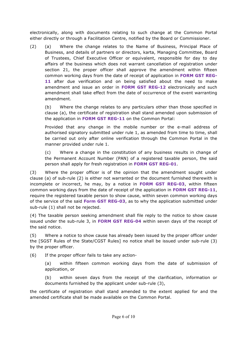electronically, along with documents relating to such change at the Common Portal either directly or through a Facilitation Centre, notified by the Board or Commissioner.

(2) (a) Where the change relates to the Name of Business, Principal Place of Business, and details of partners or directors, karta, Managing Committee, Board of Trustees, Chief Executive Officer or equivalent, responsible for day to day affairs of the business which does not warrant cancellation of registration under section 21, the proper officer shall approve the amendment within fifteen common working days from the date of receipt of application in **FORM GST REG-11** after due verification and on being satisfied about the need to make amendment and issue an order in **FORM GST REG-12** electronically and such amendment shall take effect from the date of occurrence of the event warranting amendment.

(b) Where the change relates to any particulars other than those specified in clause (a), the certificate of registration shall stand amended upon submission of the application in **FORM GST REG-11** on the Common Portal:

Provided that any change in the mobile number or the e-mail address of authorised signatory submitted under rule 1, as amended from time to time, shall be carried out only after online verification through the Common Portal in the manner provided under rule 1.

(c) Where a change in the constitution of any business results in change of the Permanent Account Number (PAN) of a registered taxable person, the said person shall apply for fresh registration in **FORM GST REG-01**.

(3) Where the proper officer is of the opinion that the amendment sought under clause (a) of sub-rule (2) is either not warranted or the document furnished therewith is incomplete or incorrect, he may, by a notice in **FORM GST REG-03**, within fifteen common working days from the date of receipt of the application in **FORM GST REG-11**, require the registered taxable person to show cause, within seven common working days of the service of the said **Form GST REG-03**, as to why the application submitted under sub-rule (1) shall not be rejected.

(4) The taxable person seeking amendment shall file reply to the notice to show cause issued under the sub-rule 3, in **FORM GST REG-04** within seven days of the receipt of the said notice.

(5) Where a notice to show cause has already been issued by the proper officer under the [SGST Rules of the State/CGST Rules] no notice shall be issued under sub-rule (3) by the proper officer.

(6) If the proper officer fails to take any action-

(a) within fifteen common working days from the date of submission of application, or

(b) within seven days from the receipt of the clarification, information or documents furnished by the applicant under sub-rule (3),

the certificate of registration shall stand amended to the extent applied for and the amended certificate shall be made available on the Common Portal.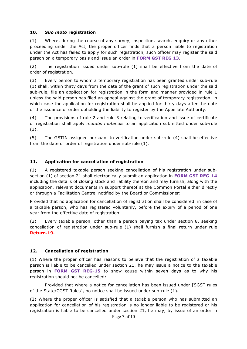#### **10.** *Suo moto* **registration**

(1) Where, during the course of any survey, inspection, search, enquiry or any other proceeding under the Act, the proper officer finds that a person liable to registration under the Act has failed to apply for such registration, such officer may register the said person on a temporary basis and issue an order in **FORM GST REG 13**.

(2) The registration issued under sub-rule (1) shall be effective from the date of order of registration.

(3) Every person to whom a temporary registration has been granted under sub-rule (1) shall, within thirty days from the date of the grant of such registration under the said sub-rule, file an application for registration in the form and manner provided in rule 1 unless the said person has filed an appeal against the grant of temporary registration, in which case the application for registration shall be applied for thirty days after the date of the issuance of order upholding the liability to register by the Appellate Authority.

(4) The provisions of rule 2 and rule 3 relating to verification and issue of certificate of registration shall apply *mutatis mutandis* to an application submitted under sub-rule (3).

(5) The GSTIN assigned pursuant to verification under sub-rule (4) shall be effective from the date of order of registration under sub-rule (1).

#### **11. Application for cancellation of registration**

(1) A registered taxable person seeking cancellation of his registration under subsection (1) of section 21 shall electronically submit an application in **FORM GST REG-14** including the details of closing stock and liability thereon and may furnish, along with the application, relevant documents in support thereof at the Common Portal either directly or through a Facilitation Centre, notified by the Board or Commissioner:

Provided that no application for cancellation of registration shall be considered in case of a taxable person, who has registered voluntarily, before the expiry of a period of one year from the effective date of registration.

(2) Every taxable person, other than a person paying tax under section 8, seeking cancellation of registration under sub-rule (1) shall furnish a final return under rule **Return.19.**

#### **12. Cancellation of registration**

(1) Where the proper officer has reasons to believe that the registration of a taxable person is liable to be cancelled under section 21, he may issue a notice to the taxable person in **FORM GST REG-15** to show cause within seven days as to why his registration should not be cancelled:

Provided that where a notice for cancellation has been issued under [SGST rules of the State/CGST Rules], no notice shall be issued under sub-rule (1).

(2) Where the proper officer is satisfied that a taxable person who has submitted an application for cancellation of his registration is no longer liable to be registered or his registration is liable to be cancelled under section 21, he may, by issue of an order in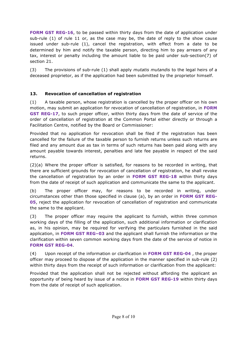**FORM GST REG-16**, to be passed within thirty days from the date of application under sub-rule (1) of rule 11 or, as the case may be, the date of reply to the show cause issued under sub-rule (1), cancel the registration, with effect from a date to be determined by him and notify the taxable person, directing him to pay arrears of any tax, interest or penalty including the amount liable to be paid under sub-section(7) of section 21.

(3) The provisions of sub-rule (1) shall apply *mutatis mutandis* to the legal heirs of a deceased proprietor, as if the application had been submitted by the proprietor himself.

# **13. Revocation of cancellation of registration**

(1) A taxable person, whose registration is cancelled by the proper officer on his own motion, may submit an application for revocation of cancellation of registration, in **FORM GST REG-17**, to such proper officer, within thirty days from the date of service of the order of cancellation of registration at the Common Portal either directly or through a Facilitation Centre, notified by the Board or Commissioner:

Provided that no application for revocation shall be filed if the registration has been cancelled for the failure of the taxable person to furnish returns unless such returns are filed and any amount due as tax in terms of such returns has been paid along with any amount payable towards interest, penalties and late fee payable in respect of the said returns.

(2)(a) Where the proper officer is satisfied, for reasons to be recorded in writing, that there are sufficient grounds for revocation of cancellation of registration, he shall revoke the cancellation of registration by an order in **FORM GST REG-18** within thirty days from the date of receipt of such application and communicate the same to the applicant.

(b) The proper officer may, for reasons to be recorded in writing, under circumstances other than those specified in clause (a), by an order in **FORM GST REG-05**, reject the application for revocation of cancellation of registration and communicate the same to the applicant.

(3) The proper officer may require the applicant to furnish, within three common working days of the filling of the application, such additional information or clarification as, in his opinion, may be required for verifying the particulars furnished in the said application, in **FORM GST REG–03** and the applicant shall furnish the information or the clarification within seven common working days from the date of the service of notice in **FORM GST REG-04**.

(4) Upon receipt of the information or clarification in **FORM GST REG-04** , the proper officer may proceed to dispose of the application in the manner specified in sub-rule (2) within thirty days from the receipt of such information or clarification from the applicant:

Provided that the application shall not be rejected without affording the applicant an opportunity of being heard by issue of a notice in **FORM GST REG-19** within thirty days from the date of receipt of such application.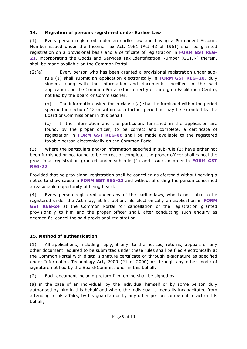## **14. Migration of persons registered under Earlier Law**

(1) Every person registered under an earlier law and having a Permanent Account Number issued under the Income Tax Act, 1961 (Act 43 of 1961) shall be granted registration on a provisional basis and a certificate of registration in **FORM GST REG-21**, incorporating the Goods and Services Tax Identification Number (GSTIN) therein, shall be made available on the Common Portal.

(2)(a) Every person who has been granted a provisional registration under subrule (1) shall submit an application electronically in **FORM GST REG–20,** duly signed, along with the information and documents specified in the said application, on the Common Portal either directly or through a Facilitation Centre, notified by the Board or Commissioner.

(b) The information asked for in clause (a) shall be furnished within the period specified in section 142 or within such further period as may be extended by the Board or Commissioner in this behalf.

(c) If the information and the particulars furnished in the application are found, by the proper officer, to be correct and complete, a certificate of registration in **FORM GST REG-06** shall be made available to the registered taxable person electronically on the Common Portal.

(3) Where the particulars and/or information specified in sub-rule (2) have either not been furnished or not found to be correct or complete, the proper officer shall cancel the provisional registration granted under sub-rule (1) and issue an order in **FORM GST REG-22**:

Provided that no provisional registration shall be cancelled as aforesaid without serving a notice to show cause in **FORM GST REG-23** and without affording the person concerned a reasonable opportunity of being heard.

(4) Every person registered under any of the earlier laws, who is not liable to be registered under the Act may, at his option, file electronically an application in **FORM GST REG-24** at the Common Portal for cancellation of the registration granted provisionally to him and the proper officer shall, after conducting such enquiry as deemed fit, cancel the said provisional registration.

# **15. Method of authentication**

(1) All applications, including reply, if any, to the notices, returns, appeals or any other document required to be submitted under these rules shall be filed electronically at the Common Portal with digital signature certificate or through e-signature as specified under Information Technology Act, 2000 (21 of 2000) or through any other mode of signature notified by the Board/Commissioner in this behalf.

(2) Each document including return filed online shall be signed by -

(a) in the case of an individual, by the individual himself or by some person duly authorised by him in this behalf and where the individual is mentally incapacitated from attending to his affairs, by his guardian or by any other person competent to act on his behalf;